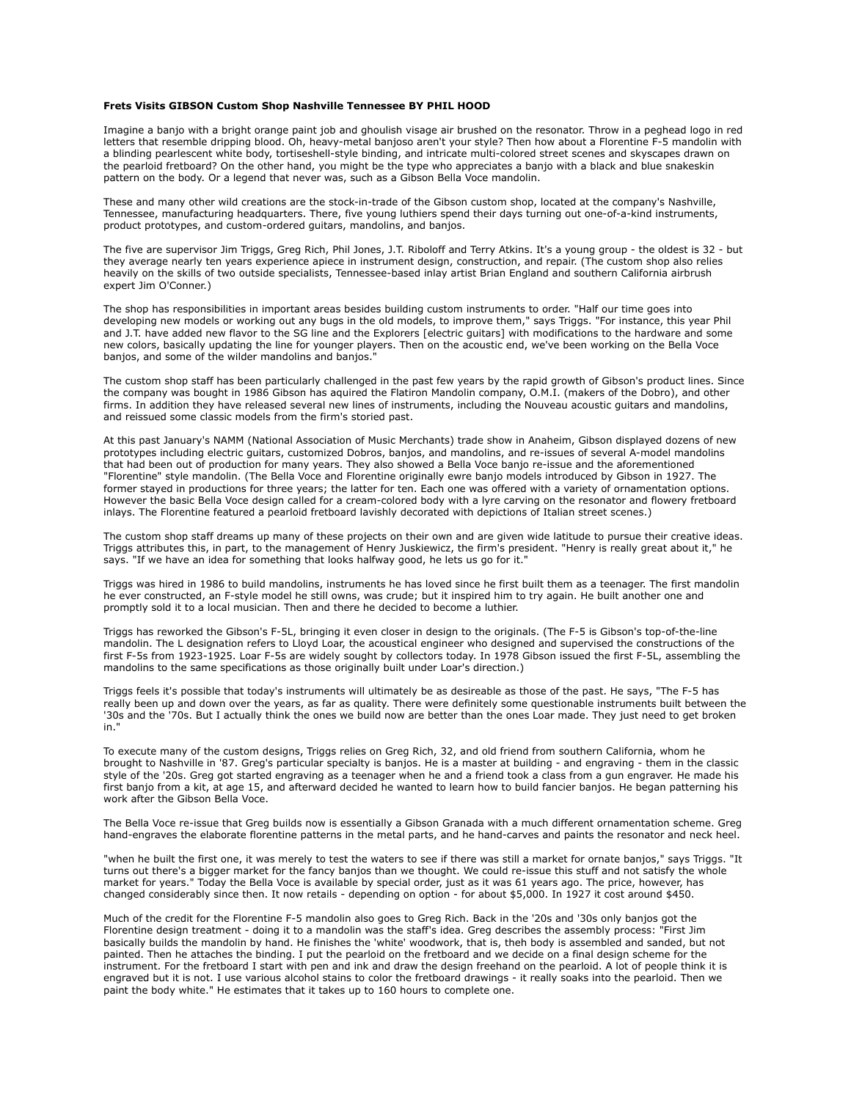## **Frets Visits GIBSON Custom Shop Nashville Tennessee BY PHIL HOOD**

Imagine a banjo with a bright orange paint job and ghoulish visage air brushed on the resonator. Throw in a peghead logo in red letters that resemble dripping blood. Oh, heavy-metal banjoso aren't your style? Then how about a Florentine F-5 mandolin with a blinding pearlescent white body, tortiseshell-style binding, and intricate multi-colored street scenes and skyscapes drawn on the pearloid fretboard? On the other hand, you might be the type who appreciates a banjo with a black and blue snakeskin pattern on the body. Or a legend that never was, such as a Gibson Bella Voce mandolin.

These and many other wild creations are the stock-in-trade of the Gibson custom shop, located at the company's Nashville, Tennessee, manufacturing headquarters. There, five young luthiers spend their days turning out one-of-a-kind instruments, product prototypes, and custom-ordered guitars, mandolins, and banjos.

The five are supervisor Jim Triggs, Greg Rich, Phil Jones, J.T. Riboloff and Terry Atkins. It's a young group - the oldest is 32 - but they average nearly ten years experience apiece in instrument design, construction, and repair. (The custom shop also relies heavily on the skills of two outside specialists, Tennessee-based inlay artist Brian England and southern California airbrush expert Jim O'Conner.)

The shop has responsibilities in important areas besides building custom instruments to order. "Half our time goes into developing new models or working out any bugs in the old models, to improve them," says Triggs. "For instance, this year Phil and J.T. have added new flavor to the SG line and the Explorers [electric guitars] with modifications to the hardware and some new colors, basically updating the line for younger players. Then on the acoustic end, we've been working on the Bella Voce banjos, and some of the wilder mandolins and banjos."

The custom shop staff has been particularly challenged in the past few years by the rapid growth of Gibson's product lines. Since the company was bought in 1986 Gibson has aquired the Flatiron Mandolin company, O.M.I. (makers of the Dobro), and other firms. In addition they have released several new lines of instruments, including the Nouveau acoustic guitars and mandolins, and reissued some classic models from the firm's storied past.

At this past January's NAMM (National Association of Music Merchants) trade show in Anaheim, Gibson displayed dozens of new prototypes including electric guitars, customized Dobros, banjos, and mandolins, and re-issues of several A-model mandolins that had been out of production for many years. They also showed a Bella Voce banjo re-issue and the aforementioned "Florentine" style mandolin. (The Bella Voce and Florentine originally ewre banjo models introduced by Gibson in 1927. The former stayed in productions for three years; the latter for ten. Each one was offered with a variety of ornamentation options. However the basic Bella Voce design called for a cream-colored body with a lyre carving on the resonator and flowery fretboard inlays. The Florentine featured a pearloid fretboard lavishly decorated with depictions of Italian street scenes.)

The custom shop staff dreams up many of these projects on their own and are given wide latitude to pursue their creative ideas. Triggs attributes this, in part, to the management of Henry Juskiewicz, the firm's president. "Henry is really great about it," he says. "If we have an idea for something that looks halfway good, he lets us go for it."

Triggs was hired in 1986 to build mandolins, instruments he has loved since he first built them as a teenager. The first mandolin he ever constructed, an F-style model he still owns, was crude; but it inspired him to try again. He built another one and promptly sold it to a local musician. Then and there he decided to become a luthier.

Triggs has reworked the Gibson's F-5L, bringing it even closer in design to the originals. (The F-5 is Gibson's top-of-the-line mandolin. The L designation refers to Lloyd Loar, the acoustical engineer who designed and supervised the constructions of the first F-5s from 1923-1925. Loar F-5s are widely sought by collectors today. In 1978 Gibson issued the first F-5L, assembling the mandolins to the same specifications as those originally built under Loar's direction.)

Triggs feels it's possible that today's instruments will ultimately be as desireable as those of the past. He says, "The F-5 has really been up and down over the years, as far as quality. There were definitely some questionable instruments built between the '30s and the '70s. But I actually think the ones we build now are better than the ones Loar made. They just need to get broken in."

To execute many of the custom designs, Triggs relies on Greg Rich, 32, and old friend from southern California, whom he brought to Nashville in '87. Greg's particular specialty is banjos. He is a master at building - and engraving - them in the classic style of the '20s. Greg got started engraving as a teenager when he and a friend took a class from a gun engraver. He made his first banjo from a kit, at age 15, and afterward decided he wanted to learn how to build fancier banjos. He began patterning his work after the Gibson Bella Voce.

The Bella Voce re-issue that Greg builds now is essentially a Gibson Granada with a much different ornamentation scheme. Greg hand-engraves the elaborate florentine patterns in the metal parts, and he hand-carves and paints the resonator and neck heel.

"when he built the first one, it was merely to test the waters to see if there was still a market for ornate banjos," says Triggs. "It turns out there's a bigger market for the fancy banjos than we thought. We could re-issue this stuff and not satisfy the whole market for years." Today the Bella Voce is available by special order, just as it was 61 years ago. The price, however, has changed considerably since then. It now retails - depending on option - for about \$5,000. In 1927 it cost around \$450.

Much of the credit for the Florentine F-5 mandolin also goes to Greg Rich. Back in the '20s and '30s only banjos got the Florentine design treatment - doing it to a mandolin was the staff's idea. Greg describes the assembly process: "First Jim basically builds the mandolin by hand. He finishes the 'white' woodwork, that is, theh body is assembled and sanded, but not painted. Then he attaches the binding. I put the pearloid on the fretboard and we decide on a final design scheme for the instrument. For the fretboard I start with pen and ink and draw the design freehand on the pearloid. A lot of people think it is engraved but it is not. I use various alcohol stains to color the fretboard drawings - it really soaks into the pearloid. Then we paint the body white." He estimates that it takes up to 160 hours to complete one.